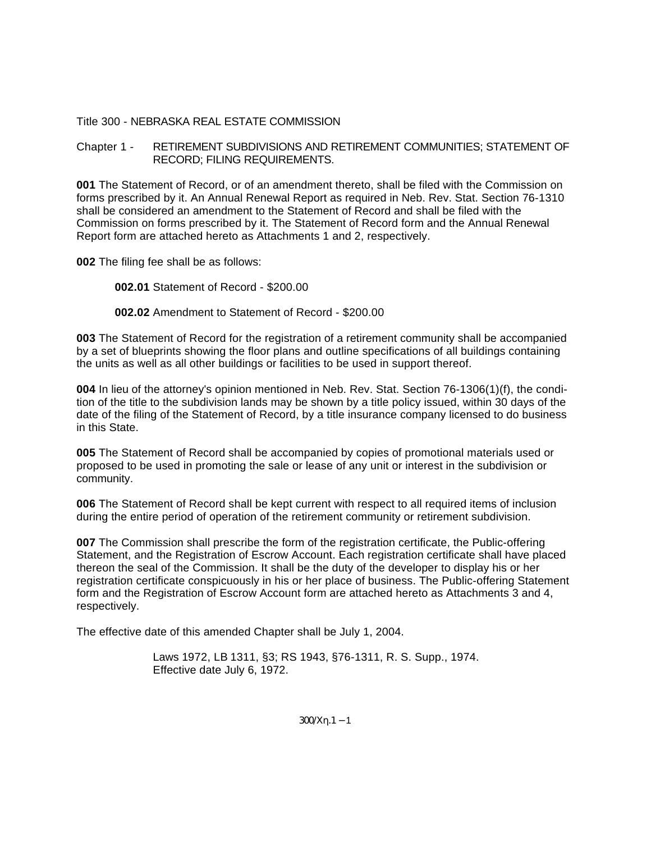### Title 300 - NEBRASKA REAL ESTATE COMMISSION

Chapter 1 - RETIREMENT SUBDIVISIONS AND RETIREMENT COMMUNITIES; STATEMENT OF RECORD; FILING REQUIREMENTS.

**001** The Statement of Record, or of an amendment thereto, shall be filed with the Commission on forms prescribed by it. An Annual Renewal Report as required in Neb. Rev. Stat. Section 76-1310 shall be considered an amendment to the Statement of Record and shall be filed with the Commission on forms prescribed by it. The Statement of Record form and the Annual Renewal Report form are attached hereto as Attachments 1 and 2, respectively.

**002** The filing fee shall be as follows:

**002.01** Statement of Record - \$200.00

**002.02** Amendment to Statement of Record - \$200.00

**003** The Statement of Record for the registration of a retirement community shall be accompanied by a set of blueprints showing the floor plans and outline specifications of all buildings containing the units as well as all other buildings or facilities to be used in support thereof.

**004** In lieu of the attorney's opinion mentioned in Neb. Rev. Stat. Section 76-1306(1)(f), the condition of the title to the subdivision lands may be shown by a title policy issued, within 30 days of the date of the filing of the Statement of Record, by a title insurance company licensed to do business in this State.

**005** The Statement of Record shall be accompanied by copies of promotional materials used or proposed to be used in promoting the sale or lease of any unit or interest in the subdivision or community.

**006** The Statement of Record shall be kept current with respect to all required items of inclusion during the entire period of operation of the retirement community or retirement subdivision.

**007** The Commission shall prescribe the form of the registration certificate, the Public-offering Statement, and the Registration of Escrow Account. Each registration certificate shall have placed thereon the seal of the Commission. It shall be the duty of the developer to display his or her registration certificate conspicuously in his or her place of business. The Public-offering Statement form and the Registration of Escrow Account form are attached hereto as Attachments 3 and 4, respectively.

The effective date of this amended Chapter shall be July 1, 2004.

Laws 1972, LB 1311, §3; RS 1943, §76-1311, R. S. Supp., 1974. Effective date July 6, 1972.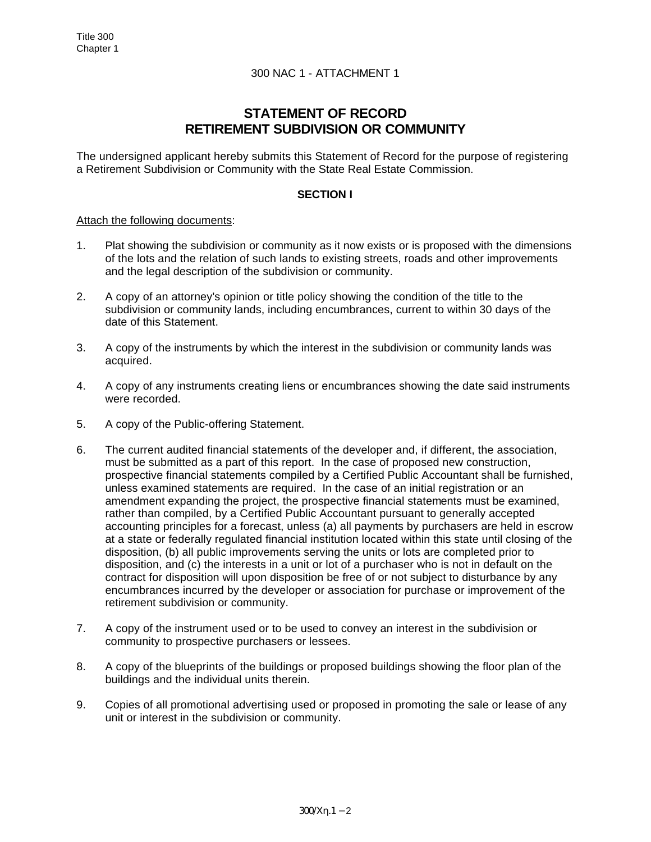# **STATEMENT OF RECORD RETIREMENT SUBDIVISION OR COMMUNITY**

The undersigned applicant hereby submits this Statement of Record for the purpose of registering a Retirement Subdivision or Community with the State Real Estate Commission.

### **SECTION I**

#### Attach the following documents:

- 1. Plat showing the subdivision or community as it now exists or is proposed with the dimensions of the lots and the relation of such lands to existing streets, roads and other improvements and the legal description of the subdivision or community.
- 2. A copy of an attorney's opinion or title policy showing the condition of the title to the subdivision or community lands, including encumbrances, current to within 30 days of the date of this Statement.
- 3. A copy of the instruments by which the interest in the subdivision or community lands was acquired.
- 4. A copy of any instruments creating liens or encumbrances showing the date said instruments were recorded.
- 5. A copy of the Public-offering Statement.
- 6. The current audited financial statements of the developer and, if different, the association, must be submitted as a part of this report. In the case of proposed new construction, prospective financial statements compiled by a Certified Public Accountant shall be furnished, unless examined statements are required. In the case of an initial registration or an amendment expanding the project, the prospective financial statements must be examined, rather than compiled, by a Certified Public Accountant pursuant to generally accepted accounting principles for a forecast, unless (a) all payments by purchasers are held in escrow at a state or federally regulated financial institution located within this state until closing of the disposition, (b) all public improvements serving the units or lots are completed prior to disposition, and (c) the interests in a unit or lot of a purchaser who is not in default on the contract for disposition will upon disposition be free of or not subject to disturbance by any encumbrances incurred by the developer or association for purchase or improvement of the retirement subdivision or community.
- 7. A copy of the instrument used or to be used to convey an interest in the subdivision or community to prospective purchasers or lessees.
- 8. A copy of the blueprints of the buildings or proposed buildings showing the floor plan of the buildings and the individual units therein.
- 9. Copies of all promotional advertising used or proposed in promoting the sale or lease of any unit or interest in the subdivision or community.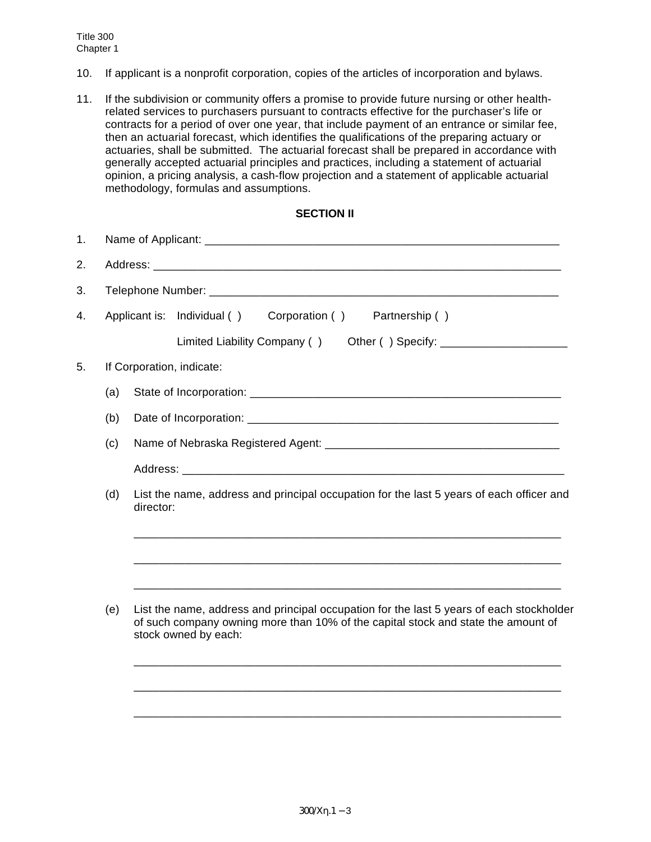- 10. If applicant is a nonprofit corporation, copies of the articles of incorporation and bylaws.
- 11. If the subdivision or community offers a promise to provide future nursing or other healthrelated services to purchasers pursuant to contracts effective for the purchaser's life or contracts for a period of over one year, that include payment of an entrance or similar fee, then an actuarial forecast, which identifies the qualifications of the preparing actuary or actuaries, shall be submitted. The actuarial forecast shall be prepared in accordance with generally accepted actuarial principles and practices, including a statement of actuarial opinion, a pricing analysis, a cash-flow projection and a statement of applicable actuarial methodology, formulas and assumptions.

## **SECTION II**

| 1. |                                                                                                              |                                                                                                                                                                                                       |  |  |  |  |
|----|--------------------------------------------------------------------------------------------------------------|-------------------------------------------------------------------------------------------------------------------------------------------------------------------------------------------------------|--|--|--|--|
| 2. |                                                                                                              |                                                                                                                                                                                                       |  |  |  |  |
| 3. |                                                                                                              |                                                                                                                                                                                                       |  |  |  |  |
| 4. |                                                                                                              | Corporation ()<br>Applicant is: Individual ()<br>Partnership ()                                                                                                                                       |  |  |  |  |
|    |                                                                                                              | Limited Liability Company ()                                                                                                                                                                          |  |  |  |  |
| 5. | If Corporation, indicate:                                                                                    |                                                                                                                                                                                                       |  |  |  |  |
|    | (a)                                                                                                          |                                                                                                                                                                                                       |  |  |  |  |
|    | (b)                                                                                                          |                                                                                                                                                                                                       |  |  |  |  |
|    | (c)                                                                                                          |                                                                                                                                                                                                       |  |  |  |  |
|    |                                                                                                              |                                                                                                                                                                                                       |  |  |  |  |
|    | List the name, address and principal occupation for the last 5 years of each officer and<br>(d)<br>director: |                                                                                                                                                                                                       |  |  |  |  |
|    |                                                                                                              |                                                                                                                                                                                                       |  |  |  |  |
|    | (e)                                                                                                          | List the name, address and principal occupation for the last 5 years of each stockholder<br>of such company owning more than 10% of the capital stock and state the amount of<br>stock owned by each: |  |  |  |  |
|    |                                                                                                              |                                                                                                                                                                                                       |  |  |  |  |
|    |                                                                                                              |                                                                                                                                                                                                       |  |  |  |  |
|    |                                                                                                              |                                                                                                                                                                                                       |  |  |  |  |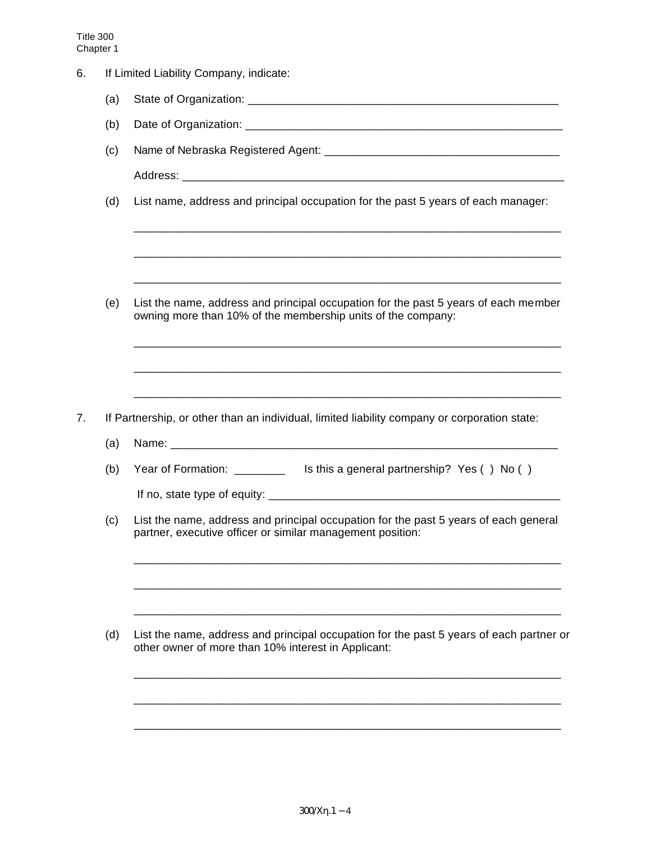|     | If Limited Liability Company, indicate:                                                                                                             |  |  |  |  |
|-----|-----------------------------------------------------------------------------------------------------------------------------------------------------|--|--|--|--|
| (a) |                                                                                                                                                     |  |  |  |  |
| (b) |                                                                                                                                                     |  |  |  |  |
| (c) |                                                                                                                                                     |  |  |  |  |
|     |                                                                                                                                                     |  |  |  |  |
| (d) | List name, address and principal occupation for the past 5 years of each manager:                                                                   |  |  |  |  |
|     |                                                                                                                                                     |  |  |  |  |
| (e) | List the name, address and principal occupation for the past 5 years of each member<br>owning more than 10% of the membership units of the company: |  |  |  |  |
|     |                                                                                                                                                     |  |  |  |  |
|     |                                                                                                                                                     |  |  |  |  |
|     | If Partnership, or other than an individual, limited liability company or corporation state:                                                        |  |  |  |  |
| (a) |                                                                                                                                                     |  |  |  |  |
| (b) | Year of Formation: __________ Is this a general partnership? Yes () No ()                                                                           |  |  |  |  |
|     |                                                                                                                                                     |  |  |  |  |
| (c) | List the name, address and principal occupation for the past 5 years of each general<br>partner, executive officer or similar management position:  |  |  |  |  |
|     |                                                                                                                                                     |  |  |  |  |
| (d) | List the name, address and principal occupation for the past 5 years of each partner or<br>other owner of more than 10% interest in Applicant:      |  |  |  |  |
|     |                                                                                                                                                     |  |  |  |  |
|     |                                                                                                                                                     |  |  |  |  |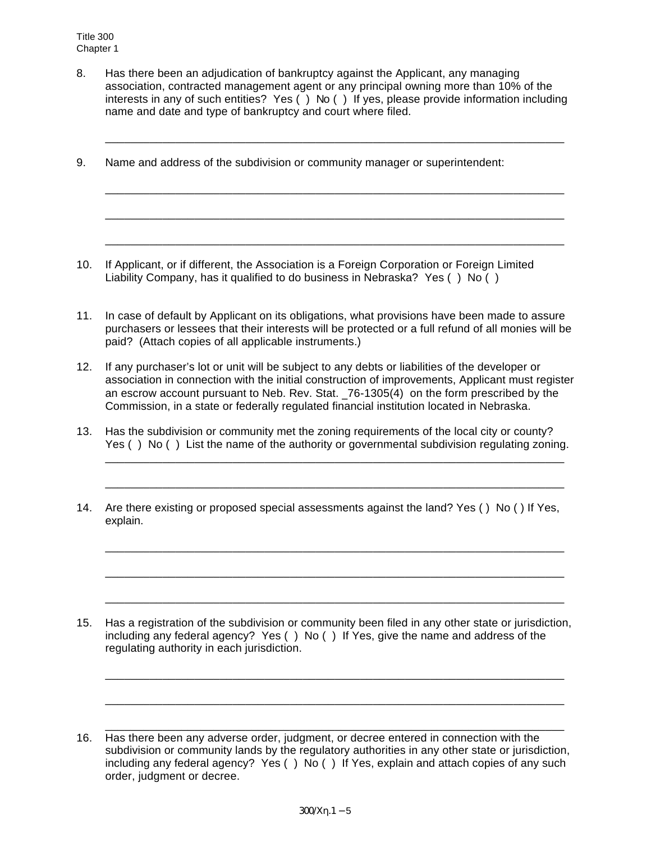8. Has there been an adjudication of bankruptcy against the Applicant, any managing association, contracted management agent or any principal owning more than 10% of the interests in any of such entities? Yes ( ) No ( ) If yes, please provide information including name and date and type of bankruptcy and court where filed.

\_\_\_\_\_\_\_\_\_\_\_\_\_\_\_\_\_\_\_\_\_\_\_\_\_\_\_\_\_\_\_\_\_\_\_\_\_\_\_\_\_\_\_\_\_\_\_\_\_\_\_\_\_\_\_\_\_\_\_\_\_\_\_\_\_\_\_\_\_\_\_\_

\_\_\_\_\_\_\_\_\_\_\_\_\_\_\_\_\_\_\_\_\_\_\_\_\_\_\_\_\_\_\_\_\_\_\_\_\_\_\_\_\_\_\_\_\_\_\_\_\_\_\_\_\_\_\_\_\_\_\_\_\_\_\_\_\_\_\_\_\_\_\_\_

\_\_\_\_\_\_\_\_\_\_\_\_\_\_\_\_\_\_\_\_\_\_\_\_\_\_\_\_\_\_\_\_\_\_\_\_\_\_\_\_\_\_\_\_\_\_\_\_\_\_\_\_\_\_\_\_\_\_\_\_\_\_\_\_\_\_\_\_\_\_\_\_

\_\_\_\_\_\_\_\_\_\_\_\_\_\_\_\_\_\_\_\_\_\_\_\_\_\_\_\_\_\_\_\_\_\_\_\_\_\_\_\_\_\_\_\_\_\_\_\_\_\_\_\_\_\_\_\_\_\_\_\_\_\_\_\_\_\_\_\_\_\_\_\_

9. Name and address of the subdivision or community manager or superintendent:

- 10. If Applicant, or if different, the Association is a Foreign Corporation or Foreign Limited Liability Company, has it qualified to do business in Nebraska? Yes ( ) No ( )
- 11. In case of default by Applicant on its obligations, what provisions have been made to assure purchasers or lessees that their interests will be protected or a full refund of all monies will be paid? (Attach copies of all applicable instruments.)
- 12. If any purchaser's lot or unit will be subject to any debts or liabilities of the developer or association in connection with the initial construction of improvements, Applicant must register an escrow account pursuant to Neb. Rev. Stat. 76-1305(4) on the form prescribed by the Commission, in a state or federally regulated financial institution located in Nebraska.
- 13. Has the subdivision or community met the zoning requirements of the local city or county? Yes () No () List the name of the authority or governmental subdivision regulating zoning.

\_\_\_\_\_\_\_\_\_\_\_\_\_\_\_\_\_\_\_\_\_\_\_\_\_\_\_\_\_\_\_\_\_\_\_\_\_\_\_\_\_\_\_\_\_\_\_\_\_\_\_\_\_\_\_\_\_\_\_\_\_\_\_\_\_\_\_\_\_\_\_\_

\_\_\_\_\_\_\_\_\_\_\_\_\_\_\_\_\_\_\_\_\_\_\_\_\_\_\_\_\_\_\_\_\_\_\_\_\_\_\_\_\_\_\_\_\_\_\_\_\_\_\_\_\_\_\_\_\_\_\_\_\_\_\_\_\_\_\_\_\_\_\_\_

\_\_\_\_\_\_\_\_\_\_\_\_\_\_\_\_\_\_\_\_\_\_\_\_\_\_\_\_\_\_\_\_\_\_\_\_\_\_\_\_\_\_\_\_\_\_\_\_\_\_\_\_\_\_\_\_\_\_\_\_\_\_\_\_\_\_\_\_\_\_\_\_

\_\_\_\_\_\_\_\_\_\_\_\_\_\_\_\_\_\_\_\_\_\_\_\_\_\_\_\_\_\_\_\_\_\_\_\_\_\_\_\_\_\_\_\_\_\_\_\_\_\_\_\_\_\_\_\_\_\_\_\_\_\_\_\_\_\_\_\_\_\_\_\_

\_\_\_\_\_\_\_\_\_\_\_\_\_\_\_\_\_\_\_\_\_\_\_\_\_\_\_\_\_\_\_\_\_\_\_\_\_\_\_\_\_\_\_\_\_\_\_\_\_\_\_\_\_\_\_\_\_\_\_\_\_\_\_\_\_\_\_\_\_\_\_\_

\_\_\_\_\_\_\_\_\_\_\_\_\_\_\_\_\_\_\_\_\_\_\_\_\_\_\_\_\_\_\_\_\_\_\_\_\_\_\_\_\_\_\_\_\_\_\_\_\_\_\_\_\_\_\_\_\_\_\_\_\_\_\_\_\_\_\_\_\_\_\_\_

\_\_\_\_\_\_\_\_\_\_\_\_\_\_\_\_\_\_\_\_\_\_\_\_\_\_\_\_\_\_\_\_\_\_\_\_\_\_\_\_\_\_\_\_\_\_\_\_\_\_\_\_\_\_\_\_\_\_\_\_\_\_\_\_\_\_\_\_\_\_\_\_

\_\_\_\_\_\_\_\_\_\_\_\_\_\_\_\_\_\_\_\_\_\_\_\_\_\_\_\_\_\_\_\_\_\_\_\_\_\_\_\_\_\_\_\_\_\_\_\_\_\_\_\_\_\_\_\_\_\_\_\_\_\_\_\_\_\_\_\_\_\_\_\_

14. Are there existing or proposed special assessments against the land? Yes ( ) No ( ) If Yes, explain.

- 15. Has a registration of the subdivision or community been filed in any other state or jurisdiction, including any federal agency? Yes ( ) No ( ) If Yes, give the name and address of the regulating authority in each jurisdiction.
- 16. Has there been any adverse order, judgment, or decree entered in connection with the subdivision or community lands by the regulatory authorities in any other state or jurisdiction, including any federal agency? Yes ( ) No ( ) If Yes, explain and attach copies of any such order, judgment or decree.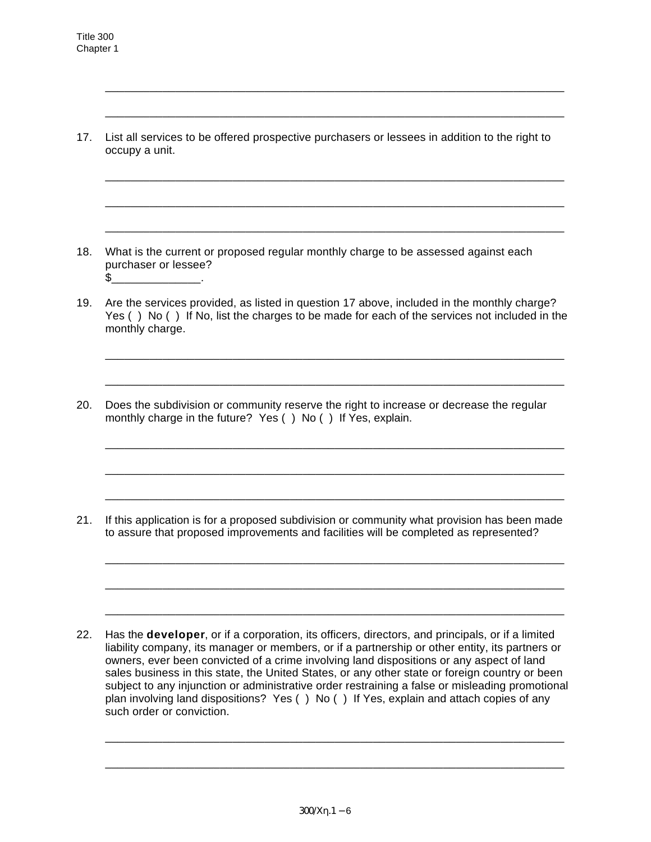17. List all services to be offered prospective purchasers or lessees in addition to the right to occupy a unit.

\_\_\_\_\_\_\_\_\_\_\_\_\_\_\_\_\_\_\_\_\_\_\_\_\_\_\_\_\_\_\_\_\_\_\_\_\_\_\_\_\_\_\_\_\_\_\_\_\_\_\_\_\_\_\_\_\_\_\_\_\_\_\_\_\_\_\_\_\_\_\_\_

\_\_\_\_\_\_\_\_\_\_\_\_\_\_\_\_\_\_\_\_\_\_\_\_\_\_\_\_\_\_\_\_\_\_\_\_\_\_\_\_\_\_\_\_\_\_\_\_\_\_\_\_\_\_\_\_\_\_\_\_\_\_\_\_\_\_\_\_\_\_\_\_

\_\_\_\_\_\_\_\_\_\_\_\_\_\_\_\_\_\_\_\_\_\_\_\_\_\_\_\_\_\_\_\_\_\_\_\_\_\_\_\_\_\_\_\_\_\_\_\_\_\_\_\_\_\_\_\_\_\_\_\_\_\_\_\_\_\_\_\_\_\_\_\_

\_\_\_\_\_\_\_\_\_\_\_\_\_\_\_\_\_\_\_\_\_\_\_\_\_\_\_\_\_\_\_\_\_\_\_\_\_\_\_\_\_\_\_\_\_\_\_\_\_\_\_\_\_\_\_\_\_\_\_\_\_\_\_\_\_\_\_\_\_\_\_\_

\_\_\_\_\_\_\_\_\_\_\_\_\_\_\_\_\_\_\_\_\_\_\_\_\_\_\_\_\_\_\_\_\_\_\_\_\_\_\_\_\_\_\_\_\_\_\_\_\_\_\_\_\_\_\_\_\_\_\_\_\_\_\_\_\_\_\_\_\_\_\_\_

- 18. What is the current or proposed regular monthly charge to be assessed against each purchaser or lessee?  $\textcircled{\texttt{s}}$  .
- 19. Are the services provided, as listed in question 17 above, included in the monthly charge? Yes () No () If No, list the charges to be made for each of the services not included in the monthly charge.

\_\_\_\_\_\_\_\_\_\_\_\_\_\_\_\_\_\_\_\_\_\_\_\_\_\_\_\_\_\_\_\_\_\_\_\_\_\_\_\_\_\_\_\_\_\_\_\_\_\_\_\_\_\_\_\_\_\_\_\_\_\_\_\_\_\_\_\_\_\_\_\_

\_\_\_\_\_\_\_\_\_\_\_\_\_\_\_\_\_\_\_\_\_\_\_\_\_\_\_\_\_\_\_\_\_\_\_\_\_\_\_\_\_\_\_\_\_\_\_\_\_\_\_\_\_\_\_\_\_\_\_\_\_\_\_\_\_\_\_\_\_\_\_\_

\_\_\_\_\_\_\_\_\_\_\_\_\_\_\_\_\_\_\_\_\_\_\_\_\_\_\_\_\_\_\_\_\_\_\_\_\_\_\_\_\_\_\_\_\_\_\_\_\_\_\_\_\_\_\_\_\_\_\_\_\_\_\_\_\_\_\_\_\_\_\_\_

\_\_\_\_\_\_\_\_\_\_\_\_\_\_\_\_\_\_\_\_\_\_\_\_\_\_\_\_\_\_\_\_\_\_\_\_\_\_\_\_\_\_\_\_\_\_\_\_\_\_\_\_\_\_\_\_\_\_\_\_\_\_\_\_\_\_\_\_\_\_\_\_

\_\_\_\_\_\_\_\_\_\_\_\_\_\_\_\_\_\_\_\_\_\_\_\_\_\_\_\_\_\_\_\_\_\_\_\_\_\_\_\_\_\_\_\_\_\_\_\_\_\_\_\_\_\_\_\_\_\_\_\_\_\_\_\_\_\_\_\_\_\_\_\_

\_\_\_\_\_\_\_\_\_\_\_\_\_\_\_\_\_\_\_\_\_\_\_\_\_\_\_\_\_\_\_\_\_\_\_\_\_\_\_\_\_\_\_\_\_\_\_\_\_\_\_\_\_\_\_\_\_\_\_\_\_\_\_\_\_\_\_\_\_\_\_\_

\_\_\_\_\_\_\_\_\_\_\_\_\_\_\_\_\_\_\_\_\_\_\_\_\_\_\_\_\_\_\_\_\_\_\_\_\_\_\_\_\_\_\_\_\_\_\_\_\_\_\_\_\_\_\_\_\_\_\_\_\_\_\_\_\_\_\_\_\_\_\_\_

\_\_\_\_\_\_\_\_\_\_\_\_\_\_\_\_\_\_\_\_\_\_\_\_\_\_\_\_\_\_\_\_\_\_\_\_\_\_\_\_\_\_\_\_\_\_\_\_\_\_\_\_\_\_\_\_\_\_\_\_\_\_\_\_\_\_\_\_\_\_\_\_

20. Does the subdivision or community reserve the right to increase or decrease the regular monthly charge in the future? Yes () No () If Yes, explain.

21. If this application is for a proposed subdivision or community what provision has been made to assure that proposed improvements and facilities will be completed as represented?

22. Has the **developer**, or if a corporation, its officers, directors, and principals, or if a limited liability company, its manager or members, or if a partnership or other entity, its partners or owners, ever been convicted of a crime involving land dispositions or any aspect of land sales business in this state, the United States, or any other state or foreign country or been subject to any injunction or administrative order restraining a false or misleading promotional plan involving land dispositions? Yes ( ) No ( ) If Yes, explain and attach copies of any such order or conviction.

\_\_\_\_\_\_\_\_\_\_\_\_\_\_\_\_\_\_\_\_\_\_\_\_\_\_\_\_\_\_\_\_\_\_\_\_\_\_\_\_\_\_\_\_\_\_\_\_\_\_\_\_\_\_\_\_\_\_\_\_\_\_\_\_\_\_\_\_\_\_\_\_

\_\_\_\_\_\_\_\_\_\_\_\_\_\_\_\_\_\_\_\_\_\_\_\_\_\_\_\_\_\_\_\_\_\_\_\_\_\_\_\_\_\_\_\_\_\_\_\_\_\_\_\_\_\_\_\_\_\_\_\_\_\_\_\_\_\_\_\_\_\_\_\_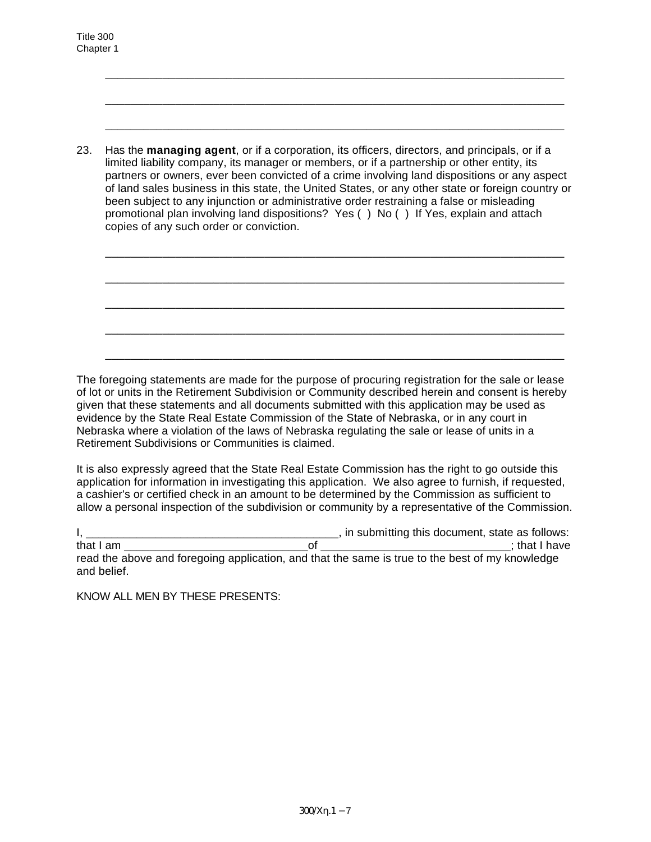23. Has the **managing agent**, or if a corporation, its officers, directors, and principals, or if a limited liability company, its manager or members, or if a partnership or other entity, its partners or owners, ever been convicted of a crime involving land dispositions or any aspect of land sales business in this state, the United States, or any other state or foreign country or been subject to any injunction or administrative order restraining a false or misleading promotional plan involving land dispositions? Yes ( ) No ( ) If Yes, explain and attach copies of any such order or conviction.

\_\_\_\_\_\_\_\_\_\_\_\_\_\_\_\_\_\_\_\_\_\_\_\_\_\_\_\_\_\_\_\_\_\_\_\_\_\_\_\_\_\_\_\_\_\_\_\_\_\_\_\_\_\_\_\_\_\_\_\_\_\_\_\_\_\_\_\_\_\_\_\_

\_\_\_\_\_\_\_\_\_\_\_\_\_\_\_\_\_\_\_\_\_\_\_\_\_\_\_\_\_\_\_\_\_\_\_\_\_\_\_\_\_\_\_\_\_\_\_\_\_\_\_\_\_\_\_\_\_\_\_\_\_\_\_\_\_\_\_\_\_\_\_\_

\_\_\_\_\_\_\_\_\_\_\_\_\_\_\_\_\_\_\_\_\_\_\_\_\_\_\_\_\_\_\_\_\_\_\_\_\_\_\_\_\_\_\_\_\_\_\_\_\_\_\_\_\_\_\_\_\_\_\_\_\_\_\_\_\_\_\_\_\_\_\_\_

\_\_\_\_\_\_\_\_\_\_\_\_\_\_\_\_\_\_\_\_\_\_\_\_\_\_\_\_\_\_\_\_\_\_\_\_\_\_\_\_\_\_\_\_\_\_\_\_\_\_\_\_\_\_\_\_\_\_\_\_\_\_\_\_\_\_\_\_\_\_\_\_

\_\_\_\_\_\_\_\_\_\_\_\_\_\_\_\_\_\_\_\_\_\_\_\_\_\_\_\_\_\_\_\_\_\_\_\_\_\_\_\_\_\_\_\_\_\_\_\_\_\_\_\_\_\_\_\_\_\_\_\_\_\_\_\_\_\_\_\_\_\_\_\_

\_\_\_\_\_\_\_\_\_\_\_\_\_\_\_\_\_\_\_\_\_\_\_\_\_\_\_\_\_\_\_\_\_\_\_\_\_\_\_\_\_\_\_\_\_\_\_\_\_\_\_\_\_\_\_\_\_\_\_\_\_\_\_\_\_\_\_\_\_\_\_\_ \_\_\_\_\_\_\_\_\_\_\_\_\_\_\_\_\_\_\_\_\_\_\_\_\_\_\_\_\_\_\_\_\_\_\_\_\_\_\_\_\_\_\_\_\_\_\_\_\_\_\_\_\_\_\_\_\_\_\_\_\_\_\_\_\_\_\_\_\_\_\_\_ \_\_\_\_\_\_\_\_\_\_\_\_\_\_\_\_\_\_\_\_\_\_\_\_\_\_\_\_\_\_\_\_\_\_\_\_\_\_\_\_\_\_\_\_\_\_\_\_\_\_\_\_\_\_\_\_\_\_\_\_\_\_\_\_\_\_\_\_\_\_\_\_ The foregoing statements are made for the purpose of procuring registration for the sale or lease

of lot or units in the Retirement Subdivision or Community described herein and consent is hereby given that these statements and all documents submitted with this application may be used as evidence by the State Real Estate Commission of the State of Nebraska, or in any court in Nebraska where a violation of the laws of Nebraska regulating the sale or lease of units in a Retirement Subdivisions or Communities is claimed.

It is also expressly agreed that the State Real Estate Commission has the right to go outside this application for information in investigating this application. We also agree to furnish, if requested, a cashier's or certified check in an amount to be determined by the Commission as sufficient to allow a personal inspection of the subdivision or community by a representative of the Commission.

I, \_\_\_\_\_\_\_\_\_\_\_\_\_\_\_\_\_\_\_\_\_\_\_\_\_\_\_\_\_\_\_\_\_\_\_\_\_\_\_\_, in submitting this document, state as follows: that I am \_\_\_\_\_\_\_\_\_\_\_\_\_\_\_\_\_\_\_\_\_\_\_\_\_\_\_\_\_of \_\_\_\_\_\_\_\_\_\_\_\_\_\_\_\_\_\_\_\_\_\_\_\_\_\_\_\_\_\_; that I have read the above and foregoing application, and that the same is true to the best of my knowledge and belief.

KNOW ALL MEN BY THESE PRESENTS: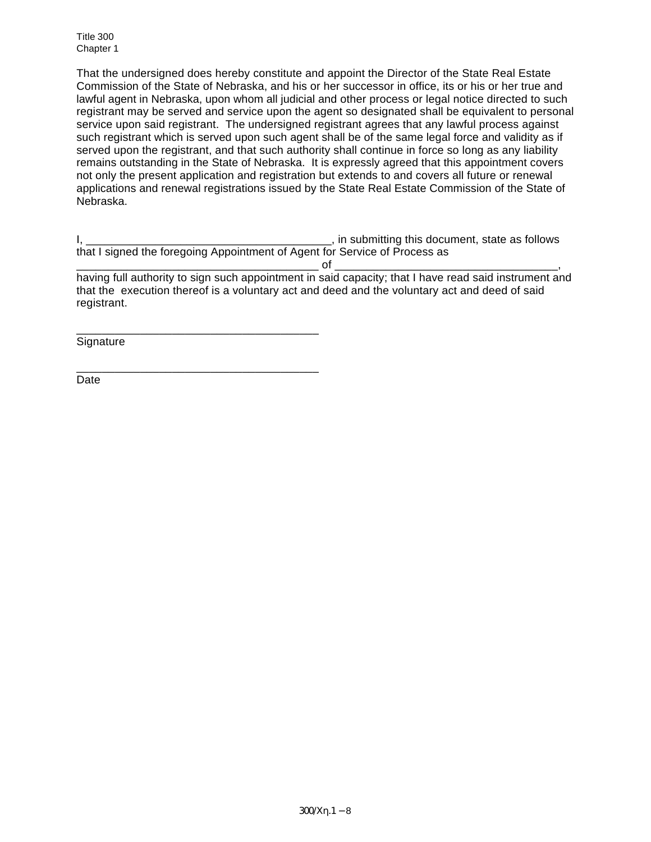That the undersigned does hereby constitute and appoint the Director of the State Real Estate Commission of the State of Nebraska, and his or her successor in office, its or his or her true and lawful agent in Nebraska, upon whom all judicial and other process or legal notice directed to such registrant may be served and service upon the agent so designated shall be equivalent to personal service upon said registrant. The undersigned registrant agrees that any lawful process against such registrant which is served upon such agent shall be of the same legal force and validity as if served upon the registrant, and that such authority shall continue in force so long as any liability remains outstanding in the State of Nebraska. It is expressly agreed that this appointment covers not only the present application and registration but extends to and covers all future or renewal applications and renewal registrations issued by the State Real Estate Commission of the State of Nebraska.

I, \_\_\_\_\_\_\_\_\_\_\_\_\_\_\_\_\_\_\_\_\_\_\_\_\_\_\_\_\_\_\_\_\_\_\_\_\_\_\_, in submitting this document, state as follows that I signed the foregoing Appointment of Agent for Service of Process as

\_\_\_\_\_\_\_\_\_\_\_\_\_\_\_\_\_\_\_\_\_\_\_\_\_\_\_\_\_\_\_\_\_\_\_\_\_\_ of \_\_\_\_\_\_\_\_\_\_\_\_\_\_\_\_\_\_\_\_\_\_\_\_\_\_\_\_\_\_\_\_\_\_\_, having full authority to sign such appointment in said capacity; that I have read said instrument and that the execution thereof is a voluntary act and deed and the voluntary act and deed of said registrant.

**Signature** 

\_\_\_\_\_\_\_\_\_\_\_\_\_\_\_\_\_\_\_\_\_\_\_\_\_\_\_\_\_\_\_\_\_\_\_\_\_\_

\_\_\_\_\_\_\_\_\_\_\_\_\_\_\_\_\_\_\_\_\_\_\_\_\_\_\_\_\_\_\_\_\_\_\_\_\_\_

Date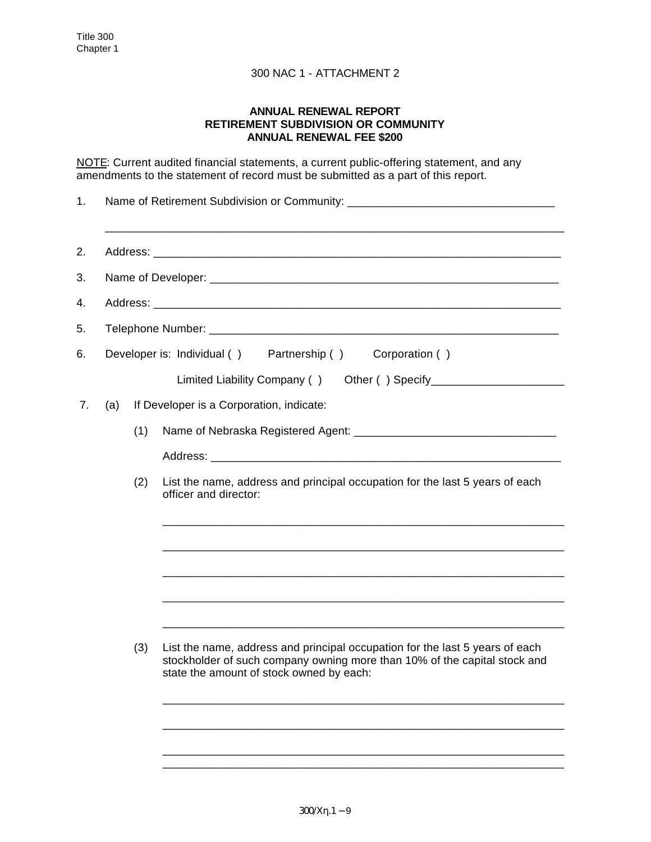### **ANNUAL RENEWAL REPORT RETIREMENT SUBDIVISION OR COMMUNITY ANNUAL RENEWAL FEE \$200**

NOTE: Current audited financial statements, a current public-offering statement, and any amendments to the statement of record must be submitted as a part of this report.

| 1. | Name of Retirement Subdivision or Community: ___________________________________ |     |                                                                                                                                                                                                       |  |  |  |  |  |  |
|----|----------------------------------------------------------------------------------|-----|-------------------------------------------------------------------------------------------------------------------------------------------------------------------------------------------------------|--|--|--|--|--|--|
| 2. |                                                                                  |     |                                                                                                                                                                                                       |  |  |  |  |  |  |
| 3. |                                                                                  |     |                                                                                                                                                                                                       |  |  |  |  |  |  |
| 4. |                                                                                  |     |                                                                                                                                                                                                       |  |  |  |  |  |  |
| 5. |                                                                                  |     |                                                                                                                                                                                                       |  |  |  |  |  |  |
| 6. | Developer is: Individual () Partnership () Corporation ()                        |     |                                                                                                                                                                                                       |  |  |  |  |  |  |
|    |                                                                                  |     | Limited Liability Company () Other () Specify___________________________________                                                                                                                      |  |  |  |  |  |  |
| 7. | If Developer is a Corporation, indicate:<br>(a)                                  |     |                                                                                                                                                                                                       |  |  |  |  |  |  |
|    |                                                                                  | (1) |                                                                                                                                                                                                       |  |  |  |  |  |  |
|    |                                                                                  |     |                                                                                                                                                                                                       |  |  |  |  |  |  |
|    |                                                                                  | (2) | List the name, address and principal occupation for the last 5 years of each<br>officer and director:                                                                                                 |  |  |  |  |  |  |
|    |                                                                                  |     |                                                                                                                                                                                                       |  |  |  |  |  |  |
|    |                                                                                  |     |                                                                                                                                                                                                       |  |  |  |  |  |  |
|    |                                                                                  |     |                                                                                                                                                                                                       |  |  |  |  |  |  |
|    |                                                                                  |     |                                                                                                                                                                                                       |  |  |  |  |  |  |
|    |                                                                                  | (3) | List the name, address and principal occupation for the last 5 years of each<br>stockholder of such company owning more than 10% of the capital stock and<br>state the amount of stock owned by each: |  |  |  |  |  |  |
|    |                                                                                  |     |                                                                                                                                                                                                       |  |  |  |  |  |  |
|    |                                                                                  |     |                                                                                                                                                                                                       |  |  |  |  |  |  |

\_\_\_\_\_\_\_\_\_\_\_\_\_\_\_\_\_\_\_\_\_\_\_\_\_\_\_\_\_\_\_\_\_\_\_\_\_\_\_\_\_\_\_\_\_\_\_\_\_\_\_\_\_\_\_\_\_\_\_\_\_\_\_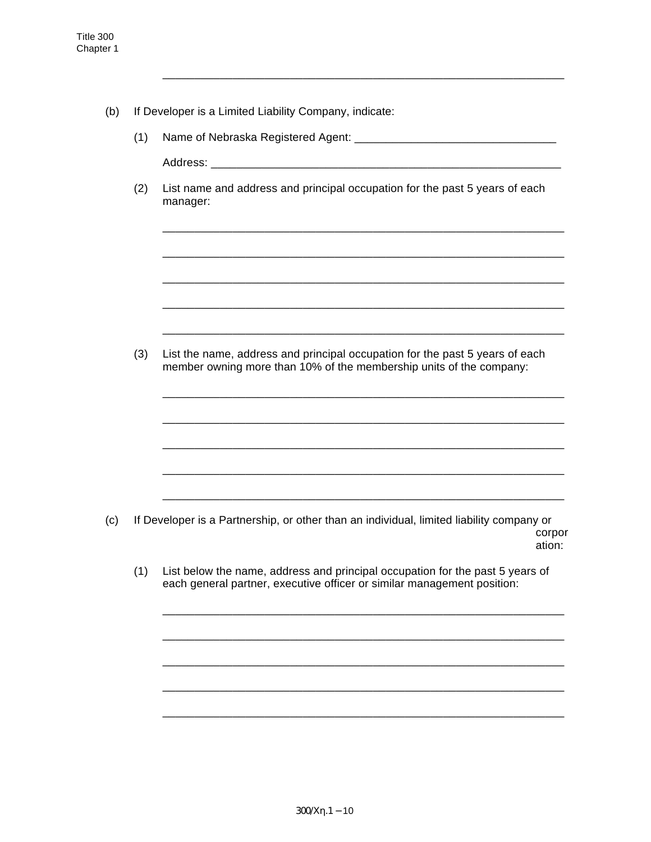- (b) If Developer is a Limited Liability Company, indicate:
	- (1) Name of Nebraska Registered Agent: \_\_\_\_\_\_\_\_\_\_\_\_\_\_\_\_\_\_\_\_\_\_\_\_\_\_\_\_\_\_\_\_

\_\_\_\_\_\_\_\_\_\_\_\_\_\_\_\_\_\_\_\_\_\_\_\_\_\_\_\_\_\_\_\_\_\_\_\_\_\_\_\_\_\_\_\_\_\_\_\_\_\_\_\_\_\_\_\_\_\_\_\_\_\_\_

Address: \_\_\_\_\_\_\_\_\_\_\_\_\_\_\_\_\_\_\_\_\_\_\_\_\_\_\_\_\_\_\_\_\_\_\_\_\_\_\_\_\_\_\_\_\_\_\_\_\_\_\_\_\_\_\_

(2) List name and address and principal occupation for the past 5 years of each manager:

\_\_\_\_\_\_\_\_\_\_\_\_\_\_\_\_\_\_\_\_\_\_\_\_\_\_\_\_\_\_\_\_\_\_\_\_\_\_\_\_\_\_\_\_\_\_\_\_\_\_\_\_\_\_\_\_\_\_\_\_\_\_\_

\_\_\_\_\_\_\_\_\_\_\_\_\_\_\_\_\_\_\_\_\_\_\_\_\_\_\_\_\_\_\_\_\_\_\_\_\_\_\_\_\_\_\_\_\_\_\_\_\_\_\_\_\_\_\_\_\_\_\_\_\_\_\_

\_\_\_\_\_\_\_\_\_\_\_\_\_\_\_\_\_\_\_\_\_\_\_\_\_\_\_\_\_\_\_\_\_\_\_\_\_\_\_\_\_\_\_\_\_\_\_\_\_\_\_\_\_\_\_\_\_\_\_\_\_\_\_

\_\_\_\_\_\_\_\_\_\_\_\_\_\_\_\_\_\_\_\_\_\_\_\_\_\_\_\_\_\_\_\_\_\_\_\_\_\_\_\_\_\_\_\_\_\_\_\_\_\_\_\_\_\_\_\_\_\_\_\_\_\_\_

\_\_\_\_\_\_\_\_\_\_\_\_\_\_\_\_\_\_\_\_\_\_\_\_\_\_\_\_\_\_\_\_\_\_\_\_\_\_\_\_\_\_\_\_\_\_\_\_\_\_\_\_\_\_\_\_\_\_\_\_\_\_\_

\_\_\_\_\_\_\_\_\_\_\_\_\_\_\_\_\_\_\_\_\_\_\_\_\_\_\_\_\_\_\_\_\_\_\_\_\_\_\_\_\_\_\_\_\_\_\_\_\_\_\_\_\_\_\_\_\_\_\_\_\_\_\_

\_\_\_\_\_\_\_\_\_\_\_\_\_\_\_\_\_\_\_\_\_\_\_\_\_\_\_\_\_\_\_\_\_\_\_\_\_\_\_\_\_\_\_\_\_\_\_\_\_\_\_\_\_\_\_\_\_\_\_\_\_\_\_

\_\_\_\_\_\_\_\_\_\_\_\_\_\_\_\_\_\_\_\_\_\_\_\_\_\_\_\_\_\_\_\_\_\_\_\_\_\_\_\_\_\_\_\_\_\_\_\_\_\_\_\_\_\_\_\_\_\_\_\_\_\_\_

\_\_\_\_\_\_\_\_\_\_\_\_\_\_\_\_\_\_\_\_\_\_\_\_\_\_\_\_\_\_\_\_\_\_\_\_\_\_\_\_\_\_\_\_\_\_\_\_\_\_\_\_\_\_\_\_\_\_\_\_\_\_\_

\_\_\_\_\_\_\_\_\_\_\_\_\_\_\_\_\_\_\_\_\_\_\_\_\_\_\_\_\_\_\_\_\_\_\_\_\_\_\_\_\_\_\_\_\_\_\_\_\_\_\_\_\_\_\_\_\_\_\_\_\_\_\_

\_\_\_\_\_\_\_\_\_\_\_\_\_\_\_\_\_\_\_\_\_\_\_\_\_\_\_\_\_\_\_\_\_\_\_\_\_\_\_\_\_\_\_\_\_\_\_\_\_\_\_\_\_\_\_\_\_\_\_\_\_\_\_

\_\_\_\_\_\_\_\_\_\_\_\_\_\_\_\_\_\_\_\_\_\_\_\_\_\_\_\_\_\_\_\_\_\_\_\_\_\_\_\_\_\_\_\_\_\_\_\_\_\_\_\_\_\_\_\_\_\_\_\_\_\_\_

\_\_\_\_\_\_\_\_\_\_\_\_\_\_\_\_\_\_\_\_\_\_\_\_\_\_\_\_\_\_\_\_\_\_\_\_\_\_\_\_\_\_\_\_\_\_\_\_\_\_\_\_\_\_\_\_\_\_\_\_\_\_\_

\_\_\_\_\_\_\_\_\_\_\_\_\_\_\_\_\_\_\_\_\_\_\_\_\_\_\_\_\_\_\_\_\_\_\_\_\_\_\_\_\_\_\_\_\_\_\_\_\_\_\_\_\_\_\_\_\_\_\_\_\_\_\_

\_\_\_\_\_\_\_\_\_\_\_\_\_\_\_\_\_\_\_\_\_\_\_\_\_\_\_\_\_\_\_\_\_\_\_\_\_\_\_\_\_\_\_\_\_\_\_\_\_\_\_\_\_\_\_\_\_\_\_\_\_\_\_

(3) List the name, address and principal occupation for the past 5 years of each member owning more than 10% of the membership units of the company:

- (c) If Developer is a Partnership, or other than an individual, limited liability company or corpor ation:
	- (1) List below the name, address and principal occupation for the past 5 years of each general partner, executive officer or similar management position: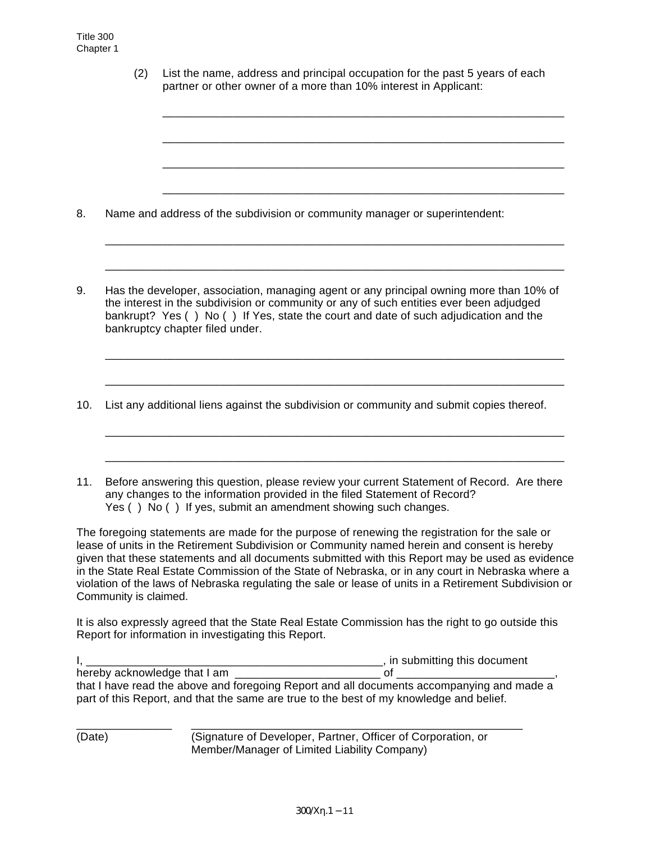(2) List the name, address and principal occupation for the past 5 years of each partner or other owner of a more than 10% interest in Applicant:

\_\_\_\_\_\_\_\_\_\_\_\_\_\_\_\_\_\_\_\_\_\_\_\_\_\_\_\_\_\_\_\_\_\_\_\_\_\_\_\_\_\_\_\_\_\_\_\_\_\_\_\_\_\_\_\_\_\_\_\_\_\_\_

\_\_\_\_\_\_\_\_\_\_\_\_\_\_\_\_\_\_\_\_\_\_\_\_\_\_\_\_\_\_\_\_\_\_\_\_\_\_\_\_\_\_\_\_\_\_\_\_\_\_\_\_\_\_\_\_\_\_\_\_\_\_\_

\_\_\_\_\_\_\_\_\_\_\_\_\_\_\_\_\_\_\_\_\_\_\_\_\_\_\_\_\_\_\_\_\_\_\_\_\_\_\_\_\_\_\_\_\_\_\_\_\_\_\_\_\_\_\_\_\_\_\_\_\_\_\_

\_\_\_\_\_\_\_\_\_\_\_\_\_\_\_\_\_\_\_\_\_\_\_\_\_\_\_\_\_\_\_\_\_\_\_\_\_\_\_\_\_\_\_\_\_\_\_\_\_\_\_\_\_\_\_\_\_\_\_\_\_\_\_

8. Name and address of the subdivision or community manager or superintendent:

9. Has the developer, association, managing agent or any principal owning more than 10% of the interest in the subdivision or community or any of such entities ever been adjudged bankrupt? Yes ( ) No ( ) If Yes, state the court and date of such adjudication and the bankruptcy chapter filed under.

\_\_\_\_\_\_\_\_\_\_\_\_\_\_\_\_\_\_\_\_\_\_\_\_\_\_\_\_\_\_\_\_\_\_\_\_\_\_\_\_\_\_\_\_\_\_\_\_\_\_\_\_\_\_\_\_\_\_\_\_\_\_\_\_\_\_\_\_\_\_\_\_

\_\_\_\_\_\_\_\_\_\_\_\_\_\_\_\_\_\_\_\_\_\_\_\_\_\_\_\_\_\_\_\_\_\_\_\_\_\_\_\_\_\_\_\_\_\_\_\_\_\_\_\_\_\_\_\_\_\_\_\_\_\_\_\_\_\_\_\_\_\_\_\_

\_\_\_\_\_\_\_\_\_\_\_\_\_\_\_\_\_\_\_\_\_\_\_\_\_\_\_\_\_\_\_\_\_\_\_\_\_\_\_\_\_\_\_\_\_\_\_\_\_\_\_\_\_\_\_\_\_\_\_\_\_\_\_\_\_\_\_\_\_\_\_\_

\_\_\_\_\_\_\_\_\_\_\_\_\_\_\_\_\_\_\_\_\_\_\_\_\_\_\_\_\_\_\_\_\_\_\_\_\_\_\_\_\_\_\_\_\_\_\_\_\_\_\_\_\_\_\_\_\_\_\_\_\_\_\_\_\_\_\_\_\_\_\_\_

\_\_\_\_\_\_\_\_\_\_\_\_\_\_\_\_\_\_\_\_\_\_\_\_\_\_\_\_\_\_\_\_\_\_\_\_\_\_\_\_\_\_\_\_\_\_\_\_\_\_\_\_\_\_\_\_\_\_\_\_\_\_\_\_\_\_\_\_\_\_\_\_

\_\_\_\_\_\_\_\_\_\_\_\_\_\_\_\_\_\_\_\_\_\_\_\_\_\_\_\_\_\_\_\_\_\_\_\_\_\_\_\_\_\_\_\_\_\_\_\_\_\_\_\_\_\_\_\_\_\_\_\_\_\_\_\_\_\_\_\_\_\_\_\_

- 10. List any additional liens against the subdivision or community and submit copies thereof.
- 11. Before answering this question, please review your current Statement of Record. Are there any changes to the information provided in the filed Statement of Record? Yes () No () If yes, submit an amendment showing such changes.

The foregoing statements are made for the purpose of renewing the registration for the sale or lease of units in the Retirement Subdivision or Community named herein and consent is hereby given that these statements and all documents submitted with this Report may be used as evidence in the State Real Estate Commission of the State of Nebraska, or in any court in Nebraska where a violation of the laws of Nebraska regulating the sale or lease of units in a Retirement Subdivision or Community is claimed.

It is also expressly agreed that the State Real Estate Commission has the right to go outside this Report for information in investigating this Report.

|                                                                                           | n in submitting this document |
|-------------------------------------------------------------------------------------------|-------------------------------|
| hereby acknowledge that I am                                                              |                               |
| that I have read the above and foregoing Report and all documents accompanying and made a |                               |
| part of this Report, and that the same are true to the best of my knowledge and belief.   |                               |

(Date) (Signature of Developer, Partner, Officer of Corporation, or Member/Manager of Limited Liability Company)

\_\_\_\_\_\_\_\_\_\_\_\_\_\_\_ \_\_\_\_\_\_\_\_\_\_\_\_\_\_\_\_\_\_\_\_\_\_\_\_\_\_\_\_\_\_\_\_\_\_\_\_\_\_\_\_\_\_\_\_\_\_\_\_\_\_\_\_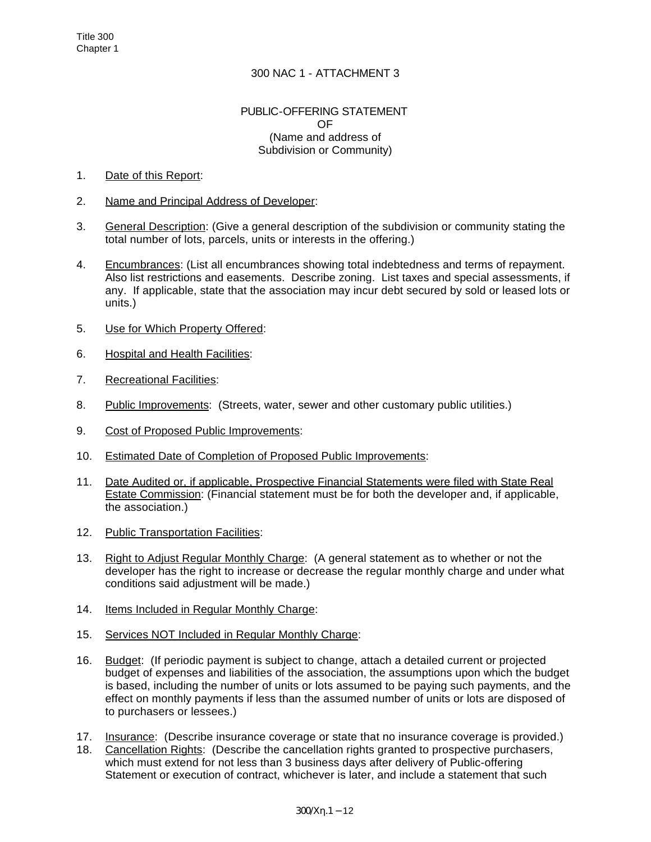#### PUBLIC-OFFERING STATEMENT OF (Name and address of Subdivision or Community)

### 1. Date of this Report:

- 2. Name and Principal Address of Developer:
- 3. General Description: (Give a general description of the subdivision or community stating the total number of lots, parcels, units or interests in the offering.)
- 4. Encumbrances: (List all encumbrances showing total indebtedness and terms of repayment. Also list restrictions and easements. Describe zoning. List taxes and special assessments, if any. If applicable, state that the association may incur debt secured by sold or leased lots or units.)
- 5. Use for Which Property Offered:
- 6. Hospital and Health Facilities:
- 7. Recreational Facilities:
- 8. Public Improvements: (Streets, water, sewer and other customary public utilities.)
- 9. Cost of Proposed Public Improvements:
- 10. Estimated Date of Completion of Proposed Public Improvements:
- 11. Date Audited or, if applicable, Prospective Financial Statements were filed with State Real Estate Commission: (Financial statement must be for both the developer and, if applicable, the association.)
- 12. Public Transportation Facilities:
- 13. Right to Adjust Regular Monthly Charge: (A general statement as to whether or not the developer has the right to increase or decrease the regular monthly charge and under what conditions said adjustment will be made.)
- 14. Items Included in Regular Monthly Charge:
- 15. Services NOT Included in Regular Monthly Charge:
- 16. Budget: (If periodic payment is subject to change, attach a detailed current or projected budget of expenses and liabilities of the association, the assumptions upon which the budget is based, including the number of units or lots assumed to be paying such payments, and the effect on monthly payments if less than the assumed number of units or lots are disposed of to purchasers or lessees.)
- 17. Insurance: (Describe insurance coverage or state that no insurance coverage is provided.)
- 18. Cancellation Rights: (Describe the cancellation rights granted to prospective purchasers, which must extend for not less than 3 business days after delivery of Public-offering Statement or execution of contract, whichever is later, and include a statement that such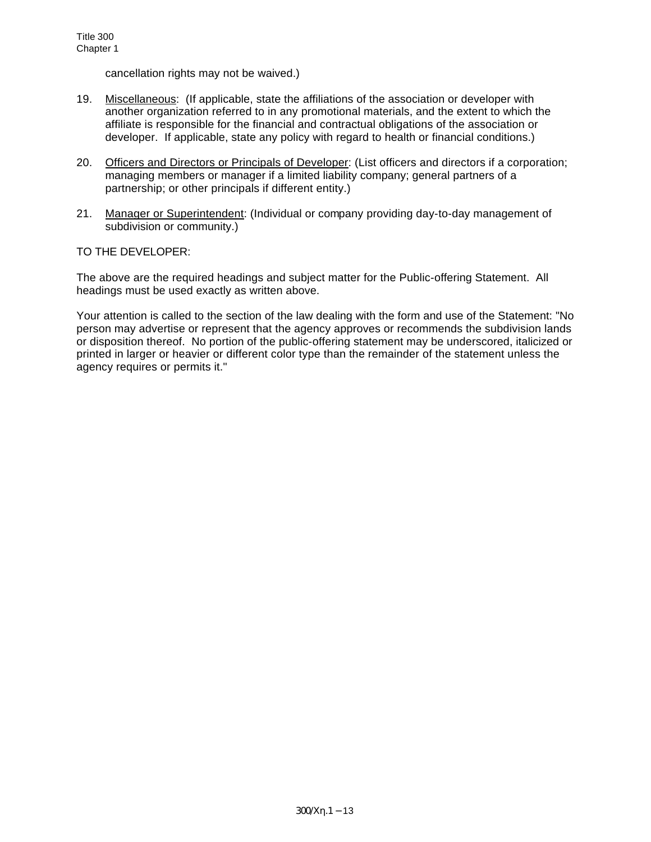cancellation rights may not be waived.)

- 19. Miscellaneous: (If applicable, state the affiliations of the association or developer with another organization referred to in any promotional materials, and the extent to which the affiliate is responsible for the financial and contractual obligations of the association or developer. If applicable, state any policy with regard to health or financial conditions.)
- 20. Officers and Directors or Principals of Developer: (List officers and directors if a corporation; managing members or manager if a limited liability company; general partners of a partnership; or other principals if different entity.)
- 21. Manager or Superintendent: (Individual or company providing day-to-day management of subdivision or community.)

## TO THE DEVELOPER:

The above are the required headings and subject matter for the Public-offering Statement. All headings must be used exactly as written above.

Your attention is called to the section of the law dealing with the form and use of the Statement: "No person may advertise or represent that the agency approves or recommends the subdivision lands or disposition thereof. No portion of the public-offering statement may be underscored, italicized or printed in larger or heavier or different color type than the remainder of the statement unless the agency requires or permits it."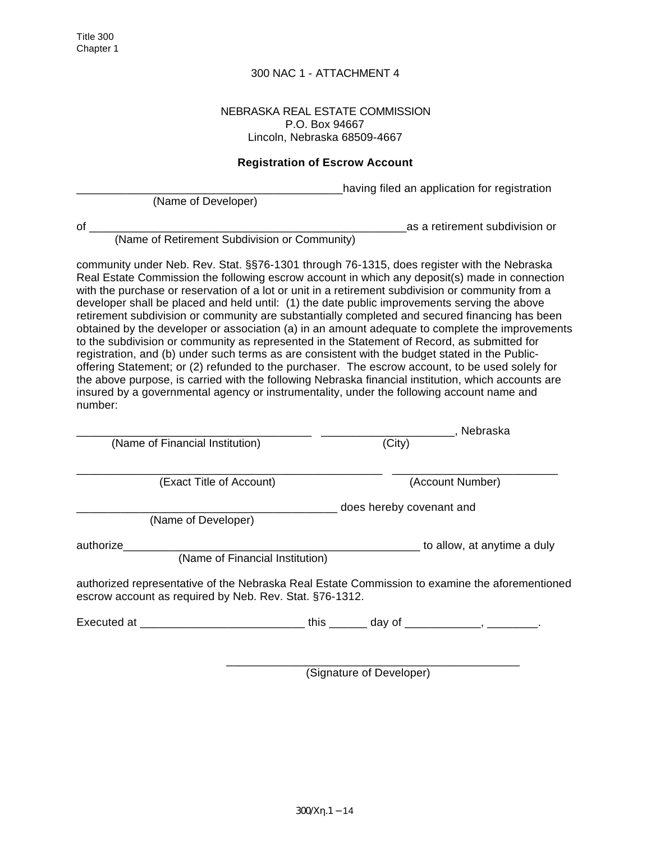#### NEBRASKA REAL ESTATE COMMISSION P.O. Box 94667 Lincoln, Nebraska 68509-4667

### **Registration of Escrow Account**

having filed an application for registration

(Name of Developer)

of the contract of the contract of the contract of the contract of the contract of the contract of the contract of the contract of the contract of the contract of the contract of the contract of the contract of the contrac

(Name of Retirement Subdivision or Community)

community under Neb. Rev. Stat. §§76-1301 through 76-1315, does register with the Nebraska Real Estate Commission the following escrow account in which any deposit(s) made in connection with the purchase or reservation of a lot or unit in a retirement subdivision or community from a developer shall be placed and held until: (1) the date public improvements serving the above retirement subdivision or community are substantially completed and secured financing has been obtained by the developer or association (a) in an amount adequate to complete the improvements to the subdivision or community as represented in the Statement of Record, as submitted for registration, and (b) under such terms as are consistent with the budget stated in the Publicoffering Statement; or (2) refunded to the purchaser. The escrow account, to be used solely for the above purpose, is carried with the following Nebraska financial institution, which accounts are insured by a governmental agency or instrumentality, under the following account name and number:

|                                                                                                                                                           |                          | , Nebraska                  |  |  |  |
|-----------------------------------------------------------------------------------------------------------------------------------------------------------|--------------------------|-----------------------------|--|--|--|
| (Name of Financial Institution)                                                                                                                           | (City)                   |                             |  |  |  |
| (Exact Title of Account)                                                                                                                                  |                          | (Account Number)            |  |  |  |
| (Name of Developer)                                                                                                                                       | does hereby covenant and |                             |  |  |  |
| authorize<br>(Name of Financial Institution)                                                                                                              |                          | to allow, at anytime a duly |  |  |  |
| authorized representative of the Nebraska Real Estate Commission to examine the aforementioned<br>escrow account as required by Neb. Rev. Stat. §76-1312. |                          |                             |  |  |  |
| Executed at ________________________________this ________ day of _______________, ____________.                                                           |                          |                             |  |  |  |

 $\frac{1}{2}$  ,  $\frac{1}{2}$  ,  $\frac{1}{2}$  ,  $\frac{1}{2}$  ,  $\frac{1}{2}$  ,  $\frac{1}{2}$  ,  $\frac{1}{2}$  ,  $\frac{1}{2}$  ,  $\frac{1}{2}$  ,  $\frac{1}{2}$  ,  $\frac{1}{2}$  ,  $\frac{1}{2}$  ,  $\frac{1}{2}$  ,  $\frac{1}{2}$  ,  $\frac{1}{2}$  ,  $\frac{1}{2}$  ,  $\frac{1}{2}$  ,  $\frac{1}{2}$  ,  $\frac{1$ 

(Signature of Developer)